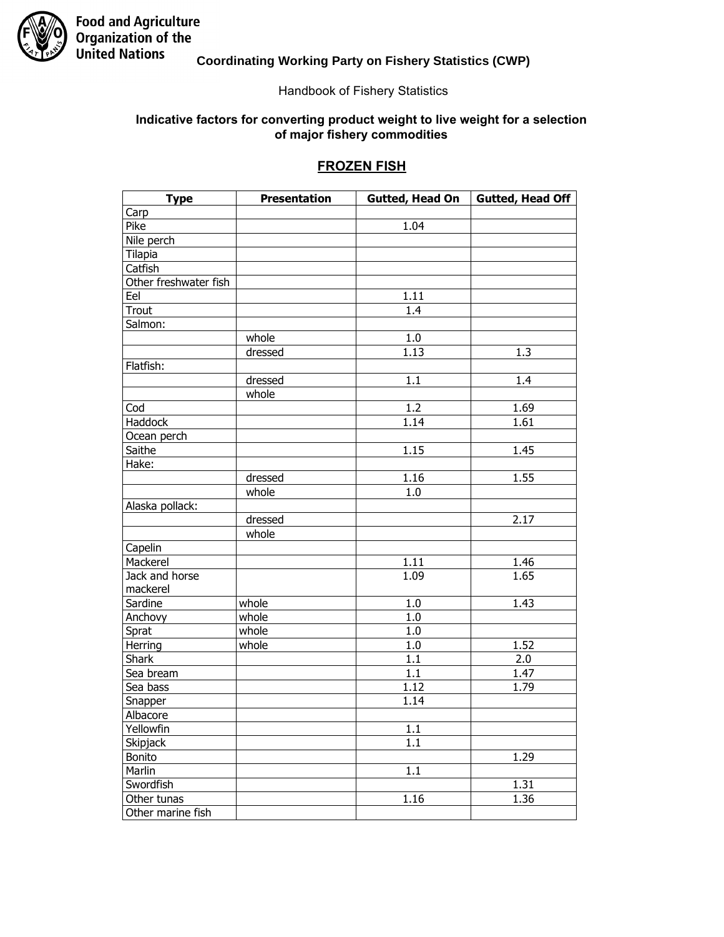

### **Coordinating Working Party on Fishery Statistics (CWP)**

#### Handbook of Fishery Statistics

#### Indicative factors for converting product weight to live weight for a selection of major fishery commodities

### **FROZEN FISH**

| <b>Type</b>           | <b>Presentation</b> | Gutted, Head On  | Gutted, Head Off |
|-----------------------|---------------------|------------------|------------------|
| Carp                  |                     |                  |                  |
| Pike                  |                     | 1.04             |                  |
| Nile perch            |                     |                  |                  |
| <b>Tilapia</b>        |                     |                  |                  |
| Catfish               |                     |                  |                  |
| Other freshwater fish |                     |                  |                  |
| Eel                   |                     | 1.11             |                  |
| Trout                 |                     | 1.4              |                  |
| Salmon:               |                     |                  |                  |
|                       | whole               | 1.0              |                  |
|                       | dressed             | 1.13             | 1.3              |
| Flatfish:             |                     |                  |                  |
|                       | dressed             | 1.1              | 1.4              |
|                       | whole               |                  |                  |
| Cod                   |                     | 1.2              | 1.69             |
| Haddock               |                     | 1.14             | 1.61             |
| Ocean perch           |                     |                  |                  |
| Saithe                |                     | 1.15             | 1.45             |
| Hake:                 |                     |                  |                  |
|                       | dressed             | 1.16             | 1.55             |
|                       | whole               | 1.0              |                  |
| Alaska pollack:       |                     |                  |                  |
|                       | dressed             |                  | 2.17             |
|                       | whole               |                  |                  |
| Capelin               |                     |                  |                  |
| Mackerel              |                     | 1.11             | 1.46             |
| Jack and horse        |                     | 1.09             | 1.65             |
| mackerel              |                     |                  |                  |
| Sardine               | whole               | 1.0              | 1.43             |
| Anchovy               | whole               | 1.0              |                  |
| Sprat                 | whole               | 1.0              |                  |
| Herring               | whole               | $\overline{1.0}$ | 1.52             |
| <b>Shark</b>          |                     | 1.1              | 2.0              |
| Sea bream             |                     | 1.1              | 1.47             |
| Sea bass              |                     | 1.12             | 1.79             |
| Snapper               |                     | 1.14             |                  |
| Albacore              |                     |                  |                  |
| Yellowfin             |                     | 1.1              |                  |
| Skipjack              |                     | 1.1              |                  |
| Bonito                |                     |                  | 1.29             |
| Marlin                |                     | $\overline{1.1}$ |                  |
| Swordfish             |                     |                  | 1.31             |
| Other tunas           |                     | 1.16             | 1.36             |
| Other marine fish     |                     |                  |                  |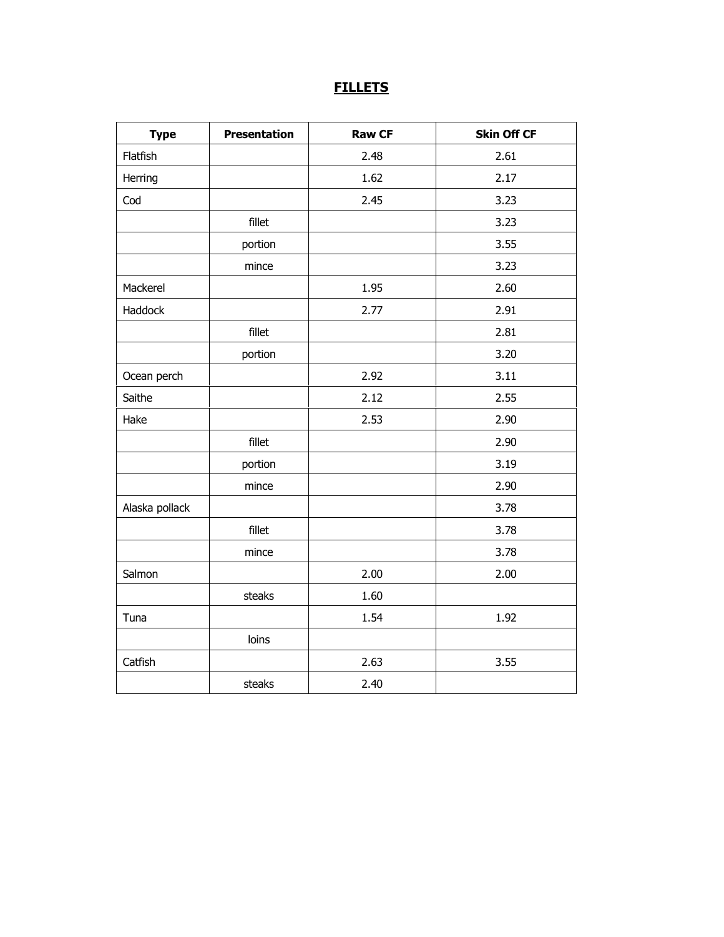# **FILLETS**

| <b>Type</b>    | <b>Presentation</b> | <b>Raw CF</b> | <b>Skin Off CF</b> |
|----------------|---------------------|---------------|--------------------|
| Flatfish       |                     | 2.48          | 2.61               |
| Herring        |                     | 1.62          | 2.17               |
| Cod            |                     | 2.45          | 3.23               |
|                | fillet              |               | 3.23               |
|                | portion             |               | 3.55               |
|                | mince               |               | 3.23               |
| Mackerel       |                     | 1.95          | 2.60               |
| Haddock        |                     | 2.77          | 2.91               |
|                | fillet              |               | 2.81               |
|                | portion             |               | 3.20               |
| Ocean perch    |                     | 2.92          | 3.11               |
| Saithe         |                     | 2.12          | 2.55               |
| Hake           |                     | 2.53          | 2.90               |
|                | fillet              |               | 2.90               |
|                | portion             |               | 3.19               |
|                | mince               |               | 2.90               |
| Alaska pollack |                     |               | 3.78               |
|                | fillet              |               | 3.78               |
|                | mince               |               | 3.78               |
| Salmon         |                     | 2.00          | 2.00               |
|                | steaks              | 1.60          |                    |
| Tuna           |                     | 1.54          | 1.92               |
|                | loins               |               |                    |
| Catfish        |                     | 2.63          | 3.55               |
|                | steaks              | 2.40          |                    |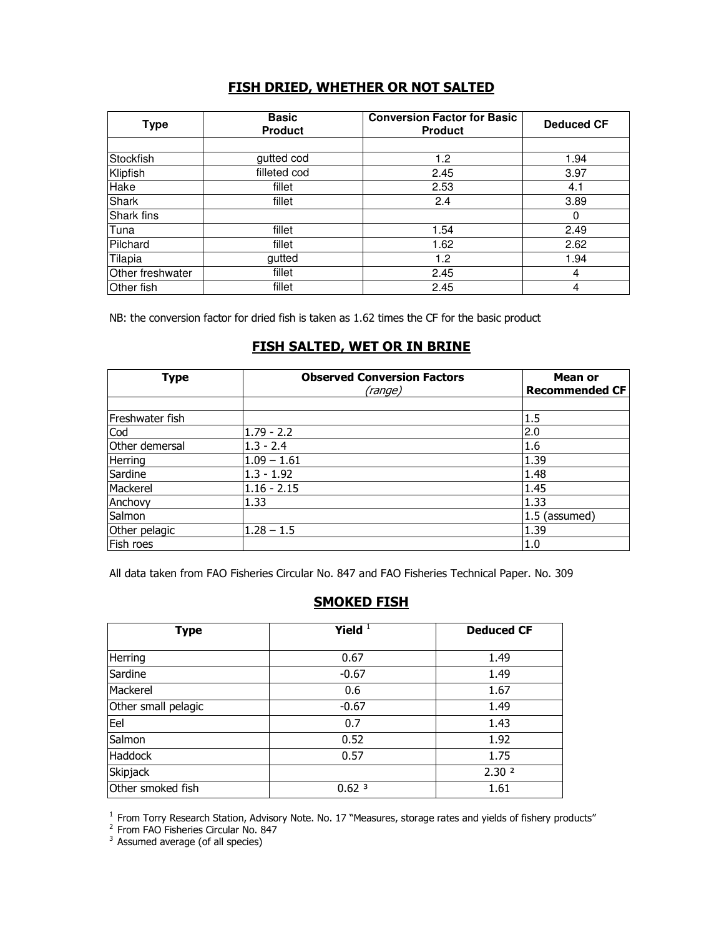## **FISH DRIED, WHETHER OR NOT SALTED**

| <b>Type</b>       | <b>Basic</b><br><b>Product</b> | <b>Conversion Factor for Basic</b><br><b>Product</b> | <b>Deduced CF</b> |
|-------------------|--------------------------------|------------------------------------------------------|-------------------|
|                   |                                |                                                      |                   |
| Stockfish         | gutted cod                     | 1.2                                                  | 1.94              |
| Klipfish          | filleted cod                   | 2.45                                                 | 3.97              |
| Hake              | fillet                         | 2.53                                                 | 4.1               |
| Shark             | fillet                         | 2.4                                                  | 3.89              |
| Shark fins        |                                |                                                      | 0                 |
| lTuna             | fillet                         | 1.54                                                 | 2.49              |
| Pilchard          | fillet                         | 1.62                                                 | 2.62              |
| Tilapia           | gutted                         | 1.2                                                  | 1.94              |
| Other freshwater  | fillet                         | 2.45                                                 | 4                 |
| <b>Other</b> fish | fillet                         | 2.45                                                 | 4                 |

NB: the conversion factor for dried fish is taken as 1.62 times the CF for the basic product

### FISH SALTED, WET OR IN BRINE

| <b>Type</b>     | <b>Observed Conversion Factors</b><br>(range) | Mean or<br><b>Recommended CF</b> |
|-----------------|-----------------------------------------------|----------------------------------|
|                 |                                               |                                  |
| Freshwater fish |                                               | 1.5                              |
| Cod             | $1.79 - 2.2$                                  | 2.0                              |
| Other demersal  | $1.3 - 2.4$                                   | 1.6                              |
| Herring         | $1.09 - 1.61$                                 | 1.39                             |
| Sardine         | $1.3 - 1.92$                                  | 1.48                             |
| Mackerel        | $1.16 - 2.15$                                 | 1.45                             |
| Anchovy         | 1.33                                          | 1.33                             |
| Salmon          |                                               | 1.5 (assumed)                    |
| Other pelagic   | $1.28 - 1.5$                                  | 1.39                             |
| Fish roes       |                                               | 1.0                              |

All data taken from FAO Fisheries Circular No. 847 and FAO Fisheries Technical Paper. No. 309

## **SMOKED FISH**

| <b>Type</b>         | Yield $1$         | <b>Deduced CF</b> |
|---------------------|-------------------|-------------------|
| Herring             | 0.67              | 1.49              |
| Sardine             | $-0.67$           | 1.49              |
| Mackerel            | 0.6               | 1.67              |
| Other small pelagic | $-0.67$           | 1.49              |
| Eel                 | 0.7               | 1.43              |
| Salmon              | 0.52              | 1.92              |
| Haddock             | 0.57              | 1.75              |
| Skipjack            |                   | 2.30 <sup>2</sup> |
| Other smoked fish   | 0.62 <sup>3</sup> | 1.61              |

<sup>1</sup> From Torry Research Station, Advisory Note. No. 17 "Measures, storage rates and yields of fishery products"<br><sup>2</sup> From FAO Fisheries Circular No. 847<br><sup>3</sup> Assumed average (of all species)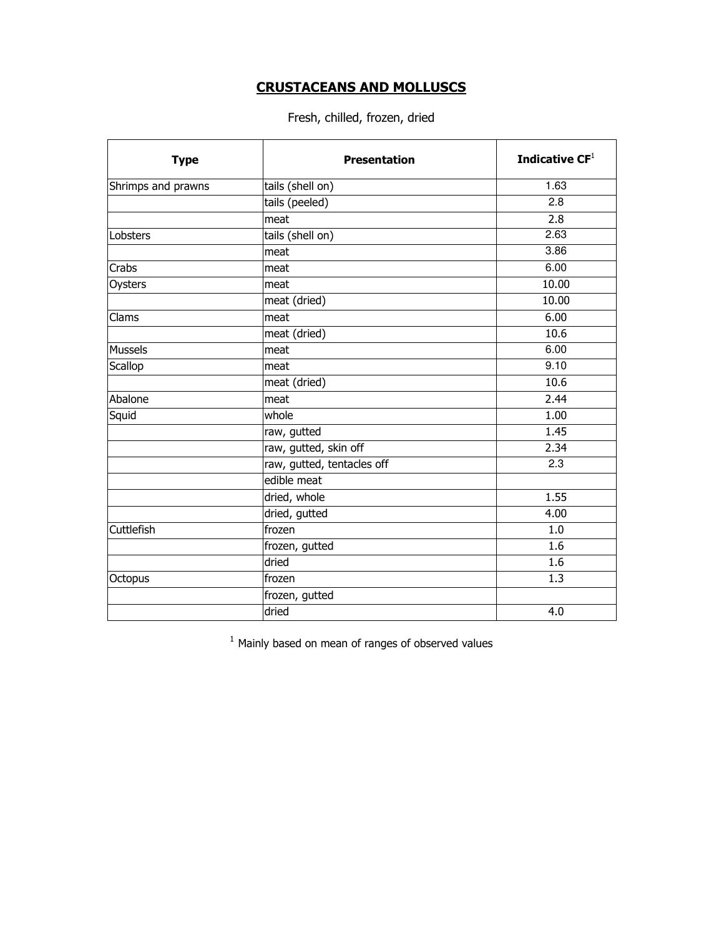## **CRUSTACEANS AND MOLLUSCS**

### Fresh, chilled, frozen, dried

| <b>Type</b>        | <b>Presentation</b>        | Indicative $CF1$ |
|--------------------|----------------------------|------------------|
| Shrimps and prawns | tails (shell on)           | 1.63             |
|                    | tails (peeled)             | 2.8              |
|                    | meat                       | 2.8              |
| Lobsters           | tails (shell on)           | 2.63             |
|                    | meat                       | 3.86             |
| Crabs              | meat                       | 6.00             |
| Oysters            | meat                       | 10.00            |
|                    | meat (dried)               | 10.00            |
| Clams              | meat                       | 6.00             |
|                    | meat (dried)               | 10.6             |
| Mussels            | meat                       | 6.00             |
| Scallop            | meat                       | 9.10             |
|                    | meat (dried)               | 10.6             |
| Abalone            | meat                       | 2.44             |
| Squid              | whole                      | 1.00             |
|                    | raw, gutted                | 1.45             |
|                    | raw, gutted, skin off      | 2.34             |
|                    | raw, gutted, tentacles off | 2.3              |
|                    | edible meat                |                  |
|                    | dried, whole               | 1.55             |
|                    | dried, gutted              | 4.00             |
| Cuttlefish         | frozen                     | 1.0              |
|                    | frozen, gutted             | 1.6              |
|                    | dried                      | 1.6              |
| Octopus            | frozen                     | 1.3              |
|                    | frozen, gutted             |                  |
|                    | dried                      | 4.0              |

 $1$  Mainly based on mean of ranges of observed values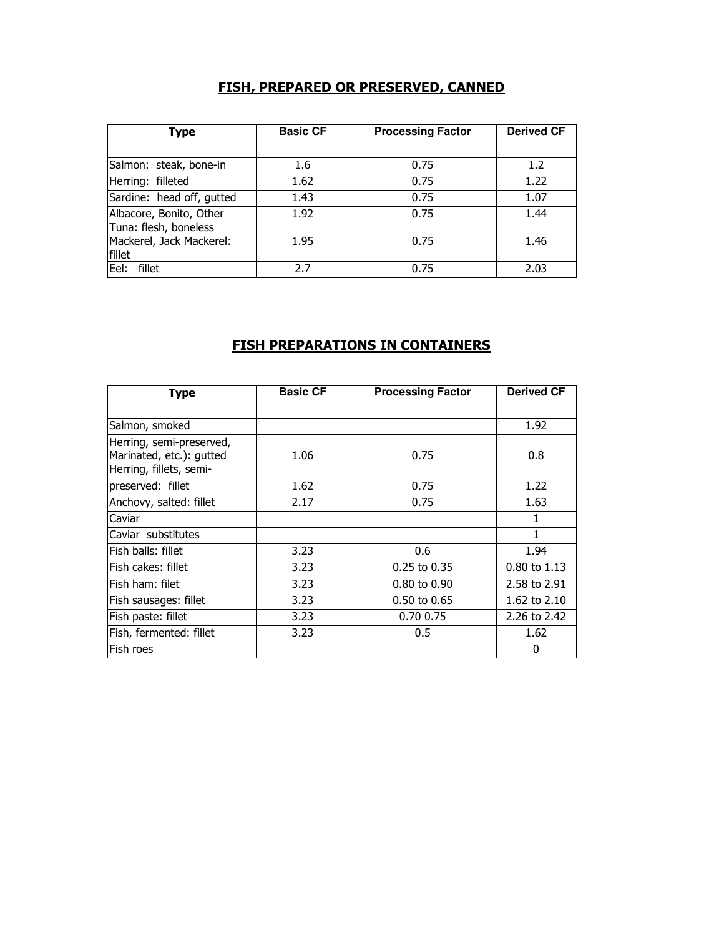## FISH, PREPARED OR PRESERVED, CANNED

| Type                                             | <b>Basic CF</b> | <b>Processing Factor</b> | <b>Derived CF</b> |
|--------------------------------------------------|-----------------|--------------------------|-------------------|
|                                                  |                 |                          |                   |
| Salmon: steak, bone-in                           | 1.6             | 0.75                     | 1.2               |
| Herring: filleted                                | 1.62            | 0.75                     | 1.22              |
| Sardine: head off, gutted                        | 1.43            | 0.75                     | 1.07              |
| Albacore, Bonito, Other<br>Tuna: flesh, boneless | 1.92            | 0.75                     | 1.44              |
| Mackerel, Jack Mackerel:<br>fillet               | 1.95            | 0.75                     | 1.46              |
| Eel:<br>fillet                                   | 27              | 0.75                     | 2.03              |

### **FISH PREPARATIONS IN CONTAINERS**

| <b>Type</b>                                          | <b>Basic CF</b> | <b>Processing Factor</b> | <b>Derived CF</b> |
|------------------------------------------------------|-----------------|--------------------------|-------------------|
|                                                      |                 |                          |                   |
| Salmon, smoked                                       |                 |                          | 1.92              |
| Herring, semi-preserved,<br>Marinated, etc.): gutted | 1.06            | 0.75                     | 0.8               |
| Herring, fillets, semi-                              |                 |                          |                   |
| preserved: fillet                                    | 1.62            | 0.75                     | 1.22              |
| Anchovy, salted: fillet                              | 2.17            | 0.75                     | 1.63              |
| Caviar                                               |                 |                          | 1                 |
| Caviar substitutes                                   |                 |                          | 1                 |
| Fish balls: fillet                                   | 3.23            | 0.6                      | 1.94              |
| Fish cakes: fillet                                   | 3.23            | $0.25$ to $0.35$         | $0.80$ to $1.13$  |
| Fish ham: filet                                      | 3.23            | $0.80$ to $0.90$         | 2.58 to 2.91      |
| Fish sausages: fillet                                | 3.23            | $0.50$ to $0.65$         | 1.62 to 2.10      |
| Fish paste: fillet                                   | 3.23            | 0.70 0.75                | 2.26 to 2.42      |
| Fish, fermented: fillet                              | 3.23            | 0.5                      | 1.62              |
| Fish roes                                            |                 |                          | 0                 |